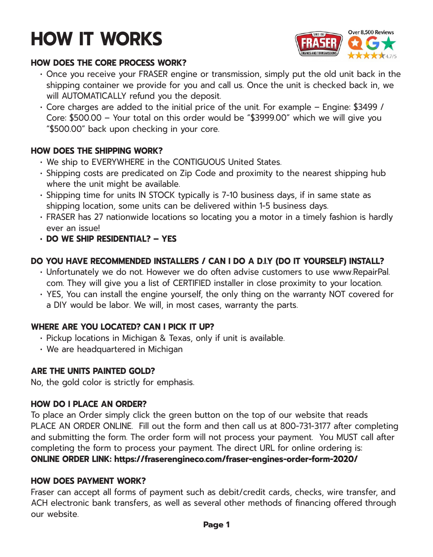# **HOW IT WORKS**



#### **HOW DOES THE CORE PROCESS WORK?**

- Once you receive your FRASER engine or transmission, simply put the old unit back in the shipping container we provide for you and call us. Once the unit is checked back in, we will AUTOMATICALLY refund you the deposit.
- Core charges are added to the initial price of the unit. For example Engine: \$3499 / Core: \$500.00 – Your total on this order would be "\$3999.00" which we will give you "\$500.00" back upon checking in your core.

# **HOW DOES THE SHIPPING WORK?**

- We ship to EVERYWHERE in the CONTIGUOUS United States.
- Shipping costs are predicated on Zip Code and proximity to the nearest shipping hub where the unit might be available.
- Shipping time for units IN STOCK typically is 7-10 business days, if in same state as shipping location, some units can be delivered within 1-5 business days.
- FRASER has 27 nationwide locations so locating you a motor in a timely fashion is hardly ever an issue!
- **• DO WE SHIP RESIDENTIAL? YES**

# **DO YOU HAVE RECOMMENDED INSTALLERS / CAN I DO A D.I.Y (DO IT YOURSELF) INSTALL?**

- Unfortunately we do not. However we do often advise customers to use www.RepairPal. com. They will give you a list of CERTIFIED installer in close proximity to your location.
- YES, You can install the engine yourself, the only thing on the warranty NOT covered for a DIY would be labor. We will, in most cases, warranty the parts.

# **WHERE ARE YOU LOCATED? CAN I PICK IT UP?**

- Pickup locations in Michigan & Texas, only if unit is available.
- We are headquartered in Michigan

# **ARE THE UNITS PAINTED GOLD?**

No, the gold color is strictly for emphasis.

#### **HOW DO I PLACE AN ORDER?**

To place an Order simply click the green button on the top of our website that reads PLACE AN ORDER ONLINE. Fill out the form and then call us at 800-731-3177 after completing and submitting the form. The order form will not process your payment. You MUST call after completing the form to process your payment. The direct URL for online ordering is: **ONLINE ORDER LINK: https://fraserengineco.com/fraser-engines-order-form-2020/**

# **HOW DOES PAYMENT WORK?**

Fraser can accept all forms of payment such as debit/credit cards, checks, wire transfer, and ACH electronic bank transfers, as well as several other methods of financing offered through our website.